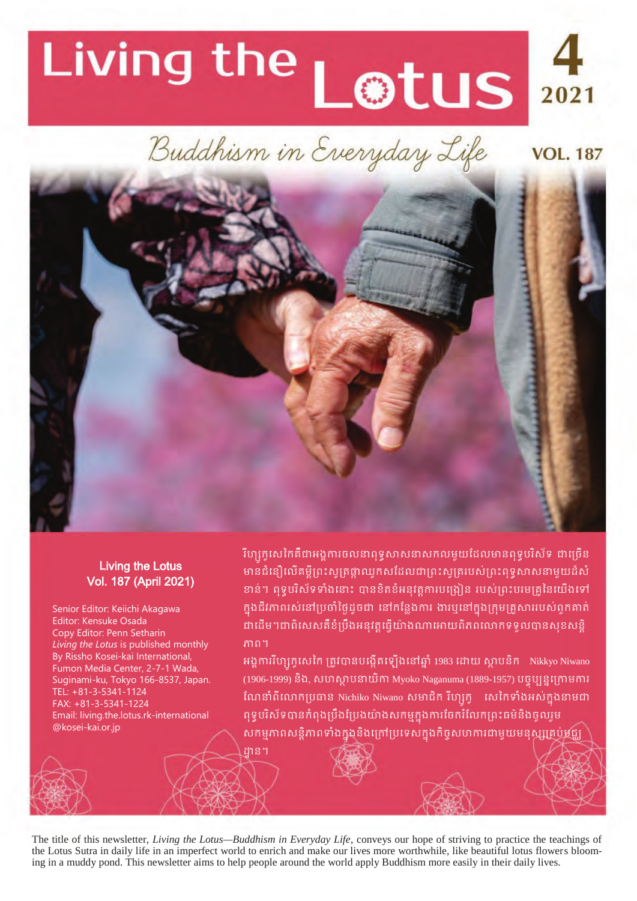# Living the Lotus 4

Buddhism in Everyday Life



#### Living the Lotus Vol. 187 (April 2021)

Senior Editor: Keiichi Akagawa Editor: Kensuke Osada Copy Editor: Penn Setharin *Living the Lotus* is published monthly By Rissho Kosei-kai International, Fumon Media Center, 2-7-1 Wada, Suginami-ku, Tokyo 166-8537, Japan. TEL: +81-3-5341-1124 FAX: +81-3-5341-1224 Email: living.the.lotus.rk-international @kosei-kai.or.jp

រីហ្សុកូសេកៃគឺជាអង្គការចលនាឮទូសាសនាសកលមួយដែលមានពុទ្ធបរិស័ទ ជាច្រើន មានជំនឿលើគម្ពីព្រះសូត្រផ្កាឈូកសដែលជាព្រះសូត្ររបស់ព្រះពុទ្ធសាសនាមួយដ៏សំ ខាន់។ ពុទ្ធបរិស័ទទាំងនោះ បានខិតខំអនុវត្តការបង្រៀន របស់ព្រះបរមគ្រូនៃយើងទៅ ក្នុងជីវភាពរស់នៅប្រចាំថ្ងៃដូចជា នៅកន្លែងការ ងារឬនៅក្នុងក្រុមគ្រួសាររបស់ពួកគាត់ ដាដើម។ជាពិសេសគឺខំប្រឹងអនុវត្តធ្វើយ៉ាងណាអោយពិភពលោកទទួលបានសុខសន្តិ ភាព។

**VOL. 187** 

អង្គការវិហ្សកូសេកៃ ត្រូវបានបង្កើតឡើងនៅឆ្នាំ 1983 ដោយ ស្ថាបនិក Nikkyo Niwano (1906-1999) និង, សហស្ថាបនាយិកា Myoko Naganuma (1889-1957) បច្ចុប្បន្នក្រោមការ ណែនាំពីលោកប្រធាន Nichiko Niwano សមាជិក រីហ្សក្វ េសេកៃទាំងអស់ក្នុងនាមជា ពុទ្ធបរិស័ទបានកំពុងប្រឹងប្រែងយ៉ាងសកម្មក្នុងការចែករំលែកព្រះធម៌និងចូលរួម សកម្មភាពសន្តភាពទាងក្នុងនងក្រោប្រទេសក្នុងកិច្ចសហការជាមួយមនុស្សគ្រប់មជ្ឈ

The title of this newsletter, *Living the Lotus—Buddhism in Everyday Life*, conveys our hope of striving to practice the teachings of the Lotus Sutra in daily life in an imperfect world to enrich and make our lives more worthwhile, like beautiful lotus flowers blooming in a muddy pond. This newsletter aims to help people around the world apply Buddhism more easily in their daily lives.

ដាន។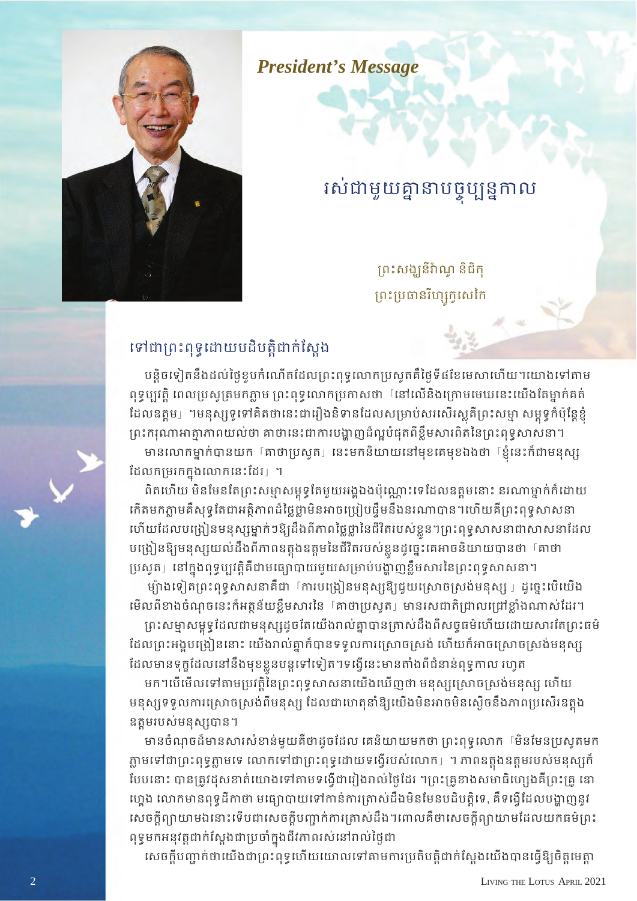*President's Message*

# រសជាមួយគ្នានាបច្ចុប្បន្នកាល

ព្រះសង្ឃនីវ៉ាណូ និជិកុ ព្រះប្រធានរីហ្សកូសេកៃ



## ទៅជាព្រះពុទ្ធដោយបដិបត្តិជាក់ស្តែង

បន្តិចទៀតនឹងដល់ថ្ងៃខួបកំណើតដែលព្រះពុទ្ធលោកប្រសូតគឺថ្ងៃទី៨ខែមេសាហើយ។យោងទៅតាម ពុទ្ធប្បវត្តិ ពេលប្រសូត្រមកភ្លាម ព្រះពុទ្ធលោកប្រកាសថា នៅលើនិងក្រោមមេឃនេះយើងតែម្នាក់គត់ ដែលឧត្តម」។មនុស្សទូទៅគិតថានេះជារឿងនិទានដែលសម្រាប់សរសើរស្លតីព្រះសម្មា សម្ពុទ្ធក៏ប៉ុន្តែខ្ញុំ ព្រះករុណាអាត្មាភាពយល់ថា គាថានេះជាការបង្ហាញដ៏ល្អបំផុតពីខ្លឹមសារពិតនៃព្រះពុទ្ធសាសនា។

មានលោកម្នាក់បានយក តាថាប្រសូត」នេះមកនិយាយនៅមុខគេមុខឯងថា ខ្ញើនេះក៏ជាមនុស្ស ដែលកម្រវកក្នុងលោកនេះដែរ」។

ពិតហើយ មិនមែនតែព្រះសម្មាសម្ពុទ្ធតែមួយអង្គឯងប៉ុណ្ណោះទេដែលឧត្តមនោះ នរណាម្នាក់ក៏ដោយ គើតមកភ្លាមគឺសុទ្ធតែជាអត្តិភាពដ៏ថ្លៃថ្លាមិនអាចប្រៀបផ្ទឹមនឹងនរណាបាន។ហើយគឺព្រះពុទ្ធសាសនា ហើយដែលបង្រៀនមនុស្សម្នាក់ៗឱ្យដឹងពីភាពថ្លៃថ្លានៃជីវិតរបស់ខ្លួនៗព្រះពុទ្ធសាសនាជាសាសនាដែល បង្រៀនឱ្យមនុស្សយល់ដឹងពីភាពឧត្តុងឧត្តមនៃជីវិតរបស់ខ្លួនដូច្នេះគេអាចនិយាយបានថា [គាថា © ប្រសូត」នៅក្នុងពុទ្ធប្បវត្តិគឺជាមធ្យោបាយមួយសម្រាប់បង្ហាញខ្លិមសារនៃព្រះពុទ្ធសាសនា។ ©

ម្យ៉ាងទៀតព្រះពុទ្ធសាសនាគឺជា 「ការបង្រៀនមនុស្សឱ្យជួយស្រោចស្រង់មនុស្ស 」ដូច្នេះបើយើង មើលពីខាងចំណុចនេះក៏អត្ថន័យខ្លឹមសារនៃ 「គាថាប្រសូត」មានរសជាតិជ្រាលជ្រៅខ្លាំងណាស់ដែរ។

ព្រះសម្មាសម្ពុទ្ធដែលជាមនុស្សដូចតែយើងរាល់គ្នាបានត្រាស់ដឹងពីសច្ចធម៌ហើយដោយសារតែព្រះធម៌ ដែលព្រះអង្គបង្រៀននោះ យើងរាល់គ្នាក៏បានទទូលការស្រោចស្រង់ ហើយក៏អាចស្រោចស្រង់មនុស្ស ដែលមានទុក្ខដែលនោនងមុខខ្លួនបន្តទោទេ|ត។ទង្វេនេះមានតាងពជនានពុទ្ធកាល រហូត

មក។បើមើលទៅតាមប្រវត្តិនៃព្រះពុទ្ធសាសនាយើងឃើញថា មនុស្សស្រោចស្រង់មនុស្ស ហើយ មនុស្សទទួលការស្រោចស្រង់ពីមនុស្ស ដែលជាហេតុនាំឱ្យយើងមិនអាចមិនស្ងើចនឹងភាពប្រសើរឧត្តង ឧត្តមរបស់មនុស្សបាន។

មានចំណុចដ៏មានសារសំខាន់មូយគឺថាដូចដែល គេនិយាយមកថា ព្រះពុទ្ធលោក <sup>[</sup>មិនមែនប្រសូតមក ភ្លាមទៅជាព្រះពុទ្ធភ្លាមទេ លោកទៅជាព្រះពុទ្ធដោយទង្វើរបស់លោក」។ ភាពឧត្តងឧត្តមរបស់មនុស្សកំ ថែបនោះ បានត្រូវដុសខាត់យោងទៅតាមទង្វើជារៀងរាល់ថ្ងៃដែរ ។ព្រះគ្រូខាងសមាធិហ្សេងគឺព្រះគ្រូ ឌោ ហ្គេង លោកមានពុទ្ធដីកាថា មធ្យោបាយទៅកាន់ការត្រាស់ដឹងមិនមែនបដិបត្តិទេ, គឺទង្វើដែលបង្ហាញនូវ សេចក្តីព្យាយាមឯនោះទើបជាសេចក្តីបញ្ជាក់ការត្រាស់ដឹង។ពោលគឺថាសេចក្តីព្យាយាមដែលយកធម៌ព្រះ ពុទ្ធមកអនុវត្តជាក់ស្តែងជាប្រចាំក្នុងជីវភាពរស់នៅរាល់ថ្ងៃជា

សេចក្តីបញ្ជាក់ថាយើងជាព្រះពុទ្ធហើយយោលទៅតាមការប្រតិបត្តិជាក់ស្តែងយើងបានធ្វើឱ្យចិត្តមេត្តា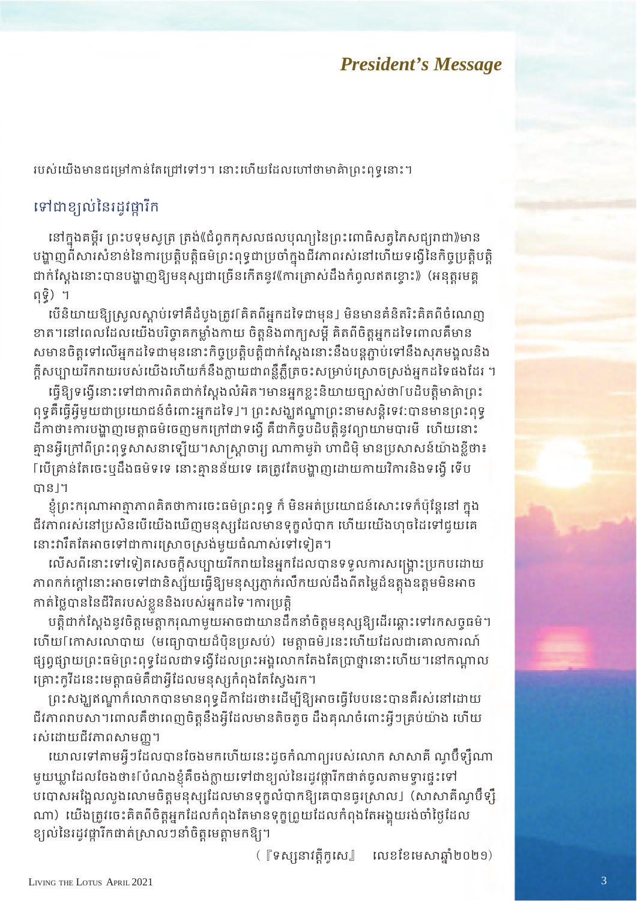## *President*<sup>*s*</sup>*s**Message*

របស់យើងមានជម្រៅកាន់តែជ្រៅទៅៗ។ នោះហើយដែលហៅថាមាគ៌ាព្រះពុទ្ធនោះ។

## ទៅជាខ្យល់នៃរដូវដ្ឋារីក

នៅក្នុងគម្ពីរ ព្រះបទុមសូត្រ ត្រង់(ជំពូកកុសលផលបុណ្យនៃព្រះពោធិសត្វភែសជ្យរាជា))មាន បង្ហាញពីសារសំខាន់នៃការប្រត្តិបត្តិធមិព្រះពុទ្ធជាប្រចាំក្នុងជីវភាពរស់នៅហើយទង្វើនៃកិច្ចប្រត្តិបត្តិ ជាក់ស្តែងនោះបានបង្ហាញឱ្យមនុស្សជាច្រើនកើតនូវ《ការត្រាស់ដឹងកំពូលឥតខ្ចោះ》(អនុត្តរមគ្គ ពុទ្ធិ) ។

យើនិយាយឱ្យស្រួលស្ដាប់ទៅគឺដំបូងត្រូវ[គិតពីអ្នកដទៃជាមុន] មិនមានគំនិតរិះគិតពីចំណេញ ខាត។នៅពេលដែលយើងបរិច្ចាគកម្លាំងកាយ ចិត្តនិង៣ក្យសម្តី គិតពីចិត្តអ្នកដទៃពោលគឺមាន សមានចិត្តទៅលើអ្នកដទៃជាមុននោះកិច្ចប្រត្តិបត្តិជាក់ស្តែងនោះនឹងបន្តភ្ជាប់ទៅនឹងសុភមង្គលនិង ក្តីសប្បាយរីករាយរបស់យើងហើយក៏នឹងក្លាយជាពន្លឺភ្លឺត្រចះសម្រាប់ស្រោចស្រង់អ្នកដទៃផងដែរ ។

េធីឱ្យទង្វើនោះទៅជាការពិតជាក់ស្តែងលំអិត។មានអកខ្ទះនិយាយច្បាស់ថា[បដិបតិ្តមាគ៌ាព្រះ ពុទ្ធគឺធ្វើអ្វីមួយជាប្រយោជន៍ចំំពោះអ្នកដទៃ J។ ព្រះសង្ឃឥណ្ឌាព្រះនាមសន្តិទេវ:បានមានព្រះពុទ្ ដីកាថា៖ការបង្ហាញមេត្តាធម៌ចេញមកក្រៅជាទង្វើ គឺជាកិច្ចបដិបត្តិនូវព្យាយាមបារមី ហើយនោះ គ្មានអ្វីក្រៅពីព្រះពុទ្ធសាសនាឡើយ។សាស្ត្រាចារ្យ ណាកាមូរ៉ា ហាជិមុិ មានប្រសាសន៍យ៉ាងខ្លីថា៖ Γេបើគ្រាន់តែចេះឬដឹងធម៌ទទេ នោះគ្មានន័យទេ គេត្រូវតែបង្ហាញដោយកាយវិការនិងទង្វើ ទើប កាន!។

ខ្ញុំព្រះករុណាអាត្មាភាពគិតថាការចេះធម៌ព្រះពុទ្ធ ក៏ មិនអត់ប្រយោជន៍សោះទេក៏ប៉ុន្តែនៅ ក្នុង ជីវភាពរស់នៅប្រសិនបើយើងឃើញមនុស្សដែលមានទុក្ខលំបាក ហើយយើងហុចដៃទៅជួយគេ នោះវារឹតតែអាចទៅជាការស្រោចស្រង់មួយធំណាស់ទៅទៀត។

លើសពីនោះទៅទៀតសេចក្តីសប្បាយរីករាយនៃអ្នកដែលបានទទួលការសង្គ្រោះប្រកបដោយ ភាពកក់ក្តោនោះអាចទោបានស្ស័យធ្វើឧ្យមនុស្សភ្ញាក់រលកយល់ដឹងពត៌ម្លេដ៏ឧត្តុងឧត្តមមនអាច កាត់ថ្លៃបាននៃជីវិតរបស់ខ្លួននិងរបស់អ្នកដទៃ។ការប្រត្តិ

បត្តិជាក់ស្តែងនូវចិត្តមេត្តាករុណាមួយអាចជាយានដឹកនាំចិត្តមនុស្សឱ្យដើរឆ្ពោះទៅរកសចូធម៌។ ហើយ[កោសលោបាយ (មធ្យោបាយដ៏ប៉ិនប្រសប់) មេត្តាធម៌]នេះហើយដែលជាគោលការណ៍ ផ្សព្វផ្សាយព្រះធម៌ព្រះពុទ្ធដែលថាទង្វើដែលព្រះអង្គលោកតែងតែប្រាថ្នានោះហើយ។នៅកណ្តាល គ្រោះកូវីដនេះមេត្តាធម៌គឺជាអ្វីដែលមនុស្សកំពុងតែស្វែងរក។

ព្រះសង្ឃឥណ្ឌាក៏លោកបានមានពុទ្ធដីកាដែរថា៖ដើម្បីឱ្យអាចធ្វើបែបនេះបានគឺរស់នៅដោយ ជីវភាពរាបសា។ពោលគឺថាពេញចិត្តនឹងអ៊ីដែលមានតិចតួច ដឹងគុណចំពោះអ្វីៗគ្រប់យ៉ាង ហើយ រស់ដោយជីវភាពសាមញ្ញ។

យោលទៅតាមអ្វីៗដែលបានចែងមកហើយនេះដូចកំណាព្យរបស់លោក សាសាគី ណូប៊ឹទ្ស៊ឹណា មួយឃ្លាដែលចែងថា៖[បំណងខ្ញុំគឺចង់ក្លាយទៅជាខ្យល់នៃរដូវផ្តារីកជាត់ចូលតាមទ្វារផ្ទះទៅ បបោសអង្អែលលួងលោមចិត្តមនុស្សដែលមានទុក្កលំបាកឱ្យគេបានធូរស្រាល」(សាសាគីណូប៊ឹទ្សឹ ណា) យើងត្រូវចេះគិតពិចិត្តអ្នកដែលកំពុងតែមានទុក្ខព្រួយដែលកំពុងតែអង្គុយរង់ចាំថ្ងៃដែល ខ្យល់នៃរដូវផ្ការីកផាត់ស្រាលៗនាំចិត្តមេត្តាមកឱ្យ។

([ទស្សនាវត្តិកូសេ] លេខខែមេសាឆ្នាំ២០២១)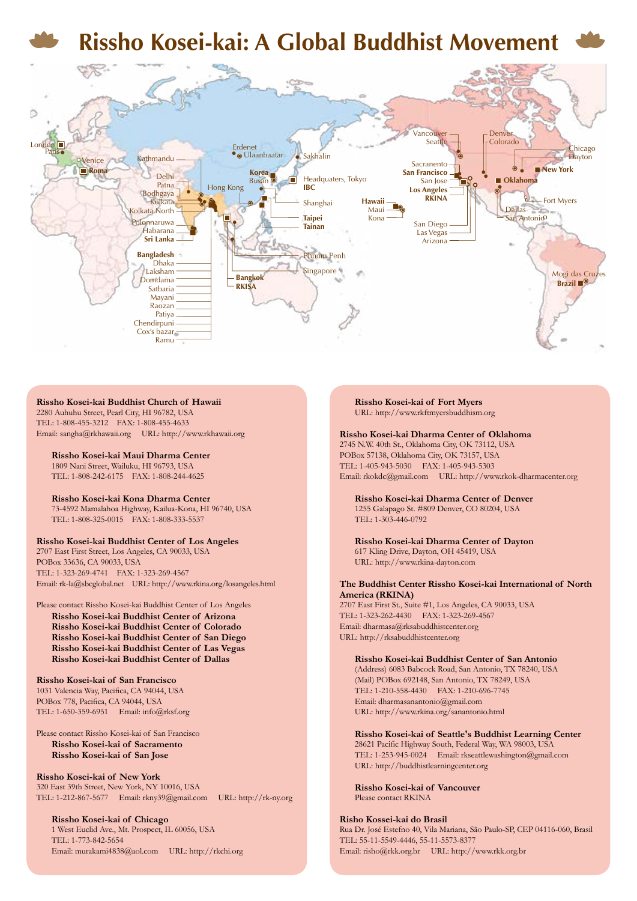## **Rissho Kosei-kai: A Global Buddhist Movement**



#### **Rissho Kosei-kai Buddhist Church of Hawaii**

2280 Auhuhu Street, Pearl City, HI 96782, USA TEL: 1-808-455-3212 FAX: 1-808-455-4633 Email: sangha@rkhawaii.org URL: http://www.rkhawaii.org

**Rissho Kosei-kai Maui Dharma Center** 1809 Nani Street, Wailuku, HI 96793, USA TEL: 1-808-242-6175 FAX: 1-808-244-4625

**Rissho Kosei-kai Kona Dharma Center** 73-4592 Mamalahoa Highway, Kailua-Kona, HI 96740, USA TEL: 1-808-325-0015 FAX: 1-808-333-5537

#### **Rissho Kosei-kai Buddhist Center of Los Angeles**

2707 East First Street, Los Angeles, CA 90033, USA POBox 33636, CA 90033, USA TEL: 1-323-269-4741 FAX: 1-323-269-4567 Email: rk-la@sbcglobal.net URL: http://www.rkina.org/losangeles.html

#### Please contact Rissho Kosei-kai Buddhist Center of Los Angeles

**Rissho Kosei-kai Buddhist Center of Arizona Rissho Kosei-kai Buddhist Center of Colorado Rissho Kosei-kai Buddhist Center of San Diego Rissho Kosei-kai Buddhist Center of Las Vegas Rissho Kosei-kai Buddhist Center of Dallas**

#### **Rissho Kosei-kai of San Francisco**

1031 Valencia Way, Pacifica, CA 94044, USA POBox 778, Pacifica, CA 94044, USA TEL: 1-650-359-6951 Email: info@rksf.org

#### Please contact Rissho Kosei-kai of San Francisco **Rissho Kosei-kai of Sacramento Rissho Kosei-kai of San Jose**

**Rissho Kosei-kai of New York** 320 East 39th Street, New York, NY 10016, USA TEL: 1-212-867-5677 Email: rkny39@gmail.com URL: http://rk-ny.org

**Rissho Kosei-kai of Chicago** 1 West Euclid Ave., Mt. Prospect, IL 60056, USA TEL: 1-773-842-5654 Email: murakami4838@aol.com URL: http://rkchi.org **Rissho Kosei-kai of Fort Myers** URL: http://www.rkftmyersbuddhism.org

#### **Rissho Kosei-kai Dharma Center of Oklahoma**

2745 N.W. 40th St., Oklahoma City, OK 73112, USA POBox 57138, Oklahoma City, OK 73157, USA TEL: 1-405-943-5030 FAX: 1-405-943-5303 Email: rkokdc@gmail.com URL: http://www.rkok-dharmacenter.org

**Rissho Kosei-kai Dharma Center of Denver** 1255 Galapago St. #809 Denver, CO 80204, USA TEL: 1-303-446-0792

**Rissho Kosei-kai Dharma Center of Dayton** 617 Kling Drive, Dayton, OH 45419, USA URL: http://www.rkina-dayton.com

#### **The Buddhist Center Rissho Kosei-kai International of North America (RKINA)**

2707 East First St., Suite #1, Los Angeles, CA 90033, USA TEL: 1-323-262-4430 FAX: 1-323-269-4567 Email: dharmasa@rksabuddhistcenter.org URL: http://rksabuddhistcenter.org

#### **Rissho Kosei-kai Buddhist Center of San Antonio**

(Address) 6083 Babcock Road, San Antonio, TX 78240, USA (Mail) POBox 692148, San Antonio, TX 78249, USA TEL: 1-210-558-4430 FAX: 1-210-696-7745 Email: dharmasanantonio@gmail.com URL: http://www.rkina.org/sanantonio.html

#### **Rissho Kosei-kai of Seattle's Buddhist Learning Center**

28621 Pacific Highway South, Federal Way, WA 98003, USA TEL: 1-253-945-0024 Email: rkseattlewashington@gmail.com URL: http://buddhistlearningcenter.org

**Rissho Kosei-kai of Vancouver** Please contact RKINA

#### **Risho Kossei-kai do Brasil**

Rua Dr. José Estefno 40, Vila Mariana, São Paulo-SP, CEP 04116-060, Brasil TEL: 55-11-5549-4446, 55-11-5573-8377 Email: risho@rkk.org.br URL: http://www.rkk.org.br